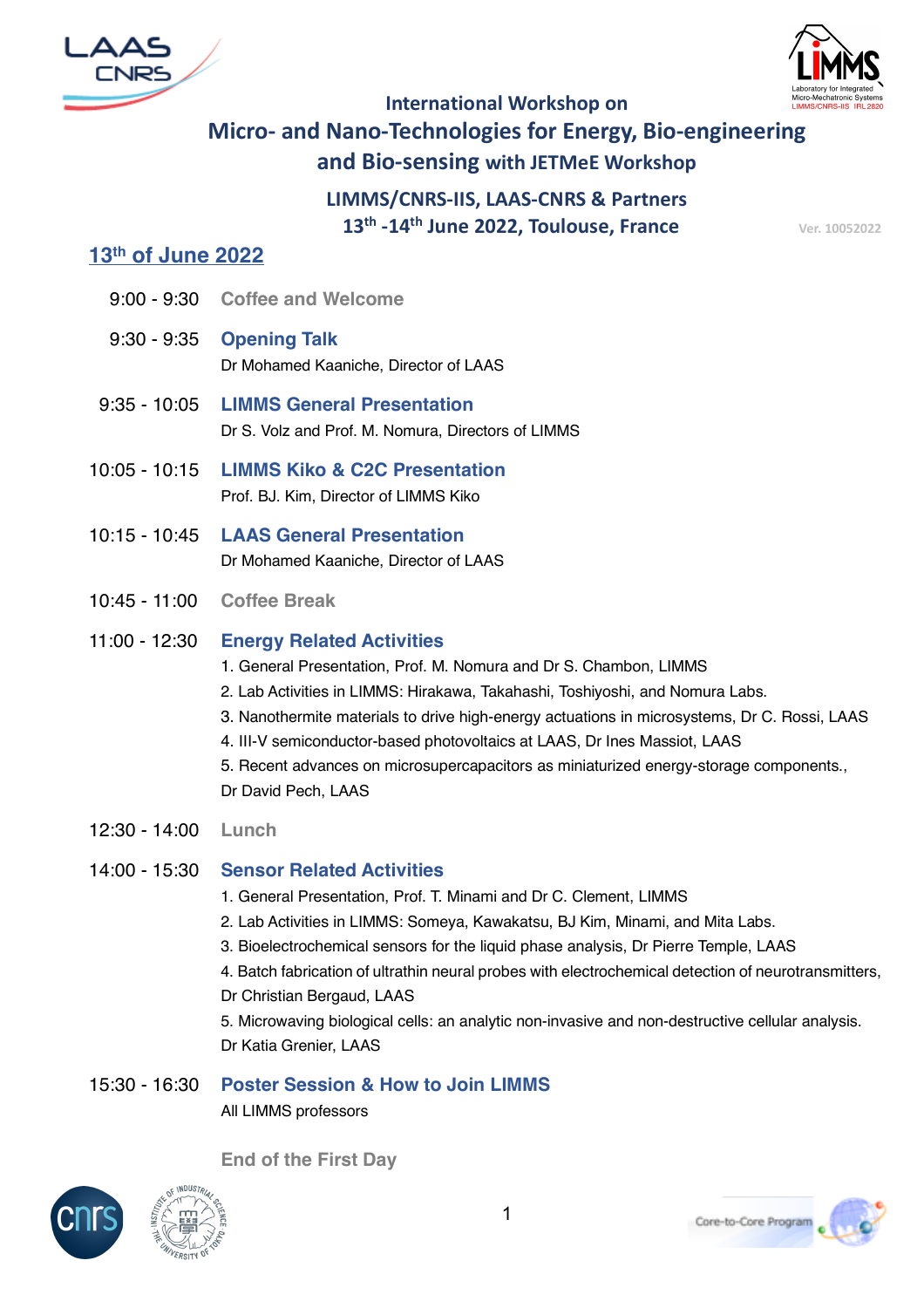



# **International Workshop on Micro- and Nano-Technologies for Energy, Bio-engineering and Bio-sensing with JETMeE Workshop**

**LIMMS/CNRS-IIS, LAAS-CNRS & Partners 13<sup>th</sup> -14<sup>th</sup> June 2022, Toulouse, France** Ver. 10052022

### **13th of June 2022**

- 9:00 9:30 **Coffee and Welcome**
- 9:30 9:35 **Opening Talk** Dr Mohamed Kaaniche, Director of LAAS
- 9:35 10:05 **LIMMS General Presentation** Dr S. Volz and Prof. M. Nomura, Directors of LIMMS
- 10:05 10:15 **LIMMS Kiko & C2C Presentation** Prof. BJ. Kim, Director of LIMMS Kiko
- 10:15 10:45 **LAAS General Presentation** Dr Mohamed Kaaniche, Director of LAAS
- 10:45 11:00 **Coffee Break**

#### 11:00 - 12:30 **Energy Related Activities**

- 1. General Presentation, Prof. M. Nomura and Dr S. Chambon, LIMMS
- 2. Lab Activities in LIMMS: Hirakawa, Takahashi, Toshiyoshi, and Nomura Labs.
- 3. Nanothermite materials to drive high-energy actuations in microsystems, Dr C. Rossi, LAAS
- 4. III-V semiconductor-based photovoltaics at LAAS, Dr Ines Massiot, LAAS
- 5. Recent advances on microsupercapacitors as miniaturized energy-storage components., Dr David Pech, LAAS
- 12:30 14:00 **Lunch**

#### 14:00 - 15:30 **Sensor Related Activities**

- 1. General Presentation, Prof. T. Minami and Dr C. Clement, LIMMS
- 2. Lab Activities in LIMMS: Someya, Kawakatsu, BJ Kim, Minami, and Mita Labs.
- 3. Bioelectrochemical sensors for the liquid phase analysis, Dr Pierre Temple, LAAS
- 4. Batch fabrication of ultrathin neural probes with electrochemical detection of neurotransmitters, Dr Christian Bergaud, LAAS

5. Microwaving biological cells: an analytic non-invasive and non-destructive cellular analysis. Dr Katia Grenier, LAAS

#### 15:30 - 16:30 **Poster Session & How to Join LIMMS** All LIMMS professors

**End of the First Day**